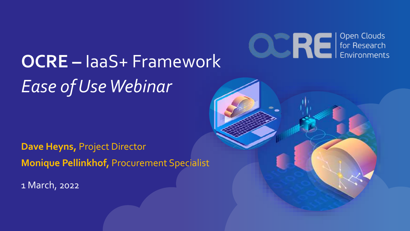

# **OCRE –** IaaS+ Framework *Ease of Use Webinar*

**Dave Heyns,** Project Director **Monique Pellinkhof,** Procurement Specialist

1 March, 2022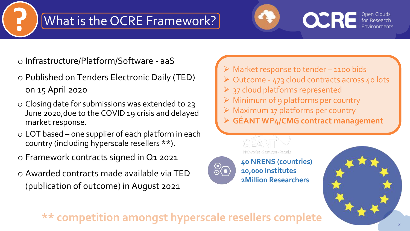#### What is the OCRE Framework?



o Infrastructure/Platform/Software - aaS

- o Published on Tenders Electronic Daily (TED) on 15 April 2020
- o Closing date for submissions was extended to 23 June 2020,due to the COVID 19 crisis and delayed market response.
- $\circ$  LOT based one supplier of each platform in each country (including hyperscale resellers \*\*).
- o Framework contracts signed in Q1 2021
- o Awarded contracts made available via TED (publication of outcome) in August 2021
- ➢ Market response to tender 1100 bids
- ➢ Outcome 473 cloud contracts across 40 lots
- $\triangleright$  37 cloud platforms represented
- ➢ Minimum of 9 platforms per country
- ➢ Maximum 17 platforms per country
- ➢ **GÉANT WP4/CMG contract management**



**40 NRENS (countries) 10,000 Institutes 2Million Researchers**



\*\* competition amongst hyperscale resellers complete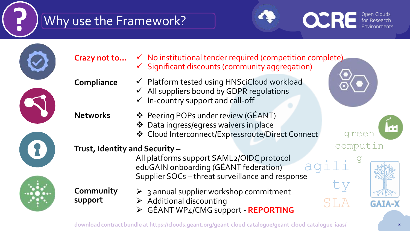# **?** Why use the Framework?

 $\ddot{\cdot}$ 



| Crazy not to                  | $\checkmark$ No institutional tender required (competition complete)<br>$\checkmark$ Significant discounts (community aggregation)                  |
|-------------------------------|-----------------------------------------------------------------------------------------------------------------------------------------------------|
| Compliance                    | √ Platform tested using HNSciCloud workload<br>$\checkmark$ All suppliers bound by GDPR regulations<br>$\checkmark$ In-country support and call-off |
| <b>Networks</b>               | ❖ Peering POPs under review (GÉANT)<br>❖ Data ingress/egress waivers in place<br>❖ Cloud Interconnect/Expressroute/Direct Connect<br>dreer          |
| Trust, Identity and Security- | computin<br>All platforms support SAML2/OIDC protocol<br>eduGAIN onboarding (GÉANT federation)<br>Supplier SOCs - threat surveillance and response  |
| Community<br>support          | $\triangleright$ 3 annual supplier workshop commitment<br>$\triangleright$ Additional discounting<br>> GÉANT WP4/CMG support - REPORTING            |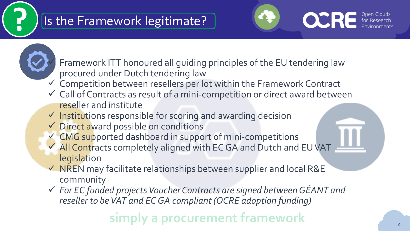#### **?** Is the Framework legitimate?



Framework ITT honoured all guiding principles of the EU tendering law procured under Dutch tendering law

- $\checkmark$  Competition between resellers per lot within the Framework Contract
- ✓ Call of Contracts as result of a mini-competition or direct award between reseller and institute
- $\checkmark$  Institutions responsible for scoring and awarding decision
- ✓ Direct award possible on conditions
- ✓ CMG supported dashboard in support of mini-competitions
- ✓ All Contracts completely aligned with EC GA and Dutch and EU VAT legislation
- ✓ NREN may facilitate relationships between supplier and local R&E community
- ✓ *For EC funded projects Voucher Contracts are signed between GÉANT and reseller to be VAT and EC GA compliant (OCRE adoption funding)*

### a procurement framework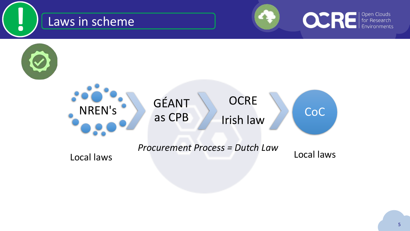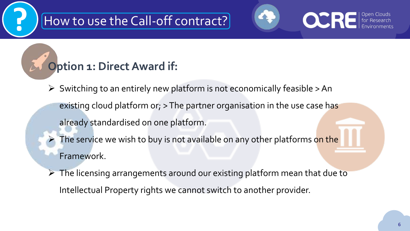# **?** How to use the Call-off contract?

# **OCRE**

#### **Option 1: Direct Award if:**

- $\triangleright$  Switching to an entirely new platform is not economically feasible  $>$  An
	- existing cloud platform or; > The partner organisation in the use case has
	- already standardised on one platform.
	- The service we wish to buy is not available on any other platforms on the Framework.
- $\triangleright$  The licensing arrangements around our existing platform mean that due to Intellectual Property rights we cannot switch to another provider.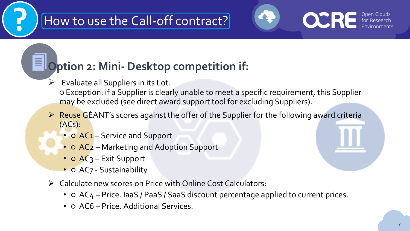# **?** How to use the Call-off contract?



#### **Option 2: Mini- Desktop competition if:**

 $\triangleright$  Evaluate all Suppliers in its Lot.

目

- Exception: if a Supplier is clearly unable to meet a specific requirement, this Supplier may be excluded (see direct award support tool for excluding Suppliers).
- $\triangleright$  Reuse GÉANT's scores against the offer of the Supplier for the following award criteria (ACs):
	- **O AC1** Service and Support
	- **O AC<sub>2</sub>** Marketing and Adoption Support
	- **O AC3** Exit Support
	- O AC7 Sustainability
- ➢ Calculate new scores on Price with Online Cost Calculators:
	- $\circ$  AC<sub>4</sub> Price. IaaS / PaaS / SaaS discount percentage applied to current prices.
	- **O AC6 Price. Additional Services.**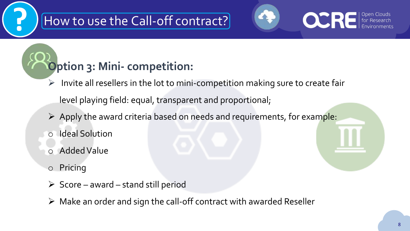#### **?** How to use the Call-off contract?

# **Option 3: Mini- competition:**

➢ Invite all resellers in the lot to mini-competition making sure to create fair

level playing field: equal, transparent and proportional;

- ➢ Apply the award criteria based on needs and requirements, for example:
- o Ideal Solution
- o Added Value
- o Pricing
- $\triangleright$  Score award stand still period
- $\triangleright$  Make an order and sign the call-off contract with awarded Reseller

**OCRE**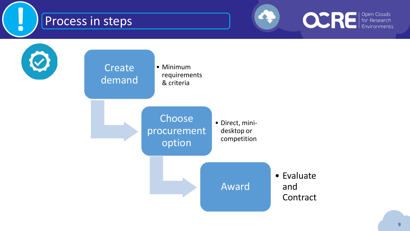#### Process in steps





**!**

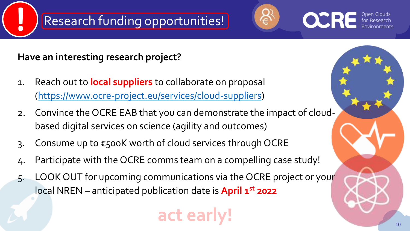# **!** Research funding opportunities!



**Have an interesting research project?**

- 1. Reach out to **local suppliers** to collaborate on proposal (<https://www.ocre-project.eu/services/cloud-suppliers>)
- 2. Convince the OCRE EAB that you can demonstrate the impact of cloudbased digital services on science (agility and outcomes)
- 3. Consume up to €500K worth of cloud services through OCRE
- 4. Participate with the OCRE comms team on a compelling case study!
- 5. LOOK OUT for upcoming communications via the OCRE project or your local NREN – anticipated publication date is **April 1st** 2022